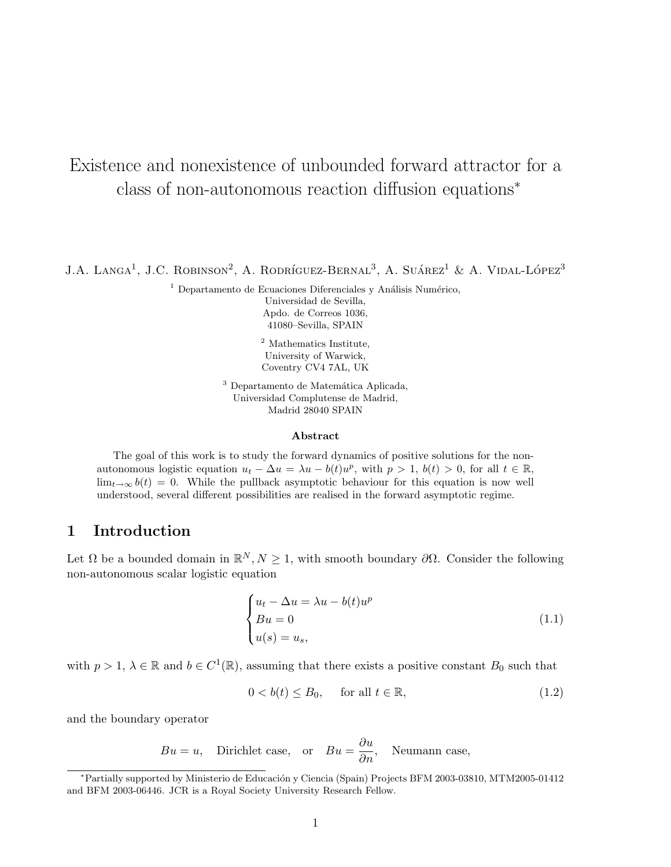# Existence and nonexistence of unbounded forward attractor for a class of non-autonomous reaction diffusion equations<sup>∗</sup>

 $J.A.$  Langa<sup>1</sup>, J.C. Robinson<sup>2</sup>, A. Rodríguez-Bernal<sup>3</sup>, A. Suárez<sup>1</sup> & A. Vidal-López<sup>3</sup>

 $1$  Departamento de Ecuaciones Diferenciales y Análisis Numérico, Universidad de Sevilla, Apdo. de Correos 1036, 41080–Sevilla, SPAIN

> <sup>2</sup> Mathematics Institute, University of Warwick, Coventry CV4 7AL, UK

 $3$  Departamento de Matemática Aplicada, Universidad Complutense de Madrid, Madrid 28040 SPAIN

#### Abstract

The goal of this work is to study the forward dynamics of positive solutions for the nonautonomous logistic equation  $u_t - \Delta u = \lambda u - b(t)u^p$ , with  $p > 1$ ,  $b(t) > 0$ , for all  $t \in \mathbb{R}$ ,  $\lim_{t\to\infty} b(t) = 0$ . While the pullback asymptotic behaviour for this equation is now well understood, several different possibilities are realised in the forward asymptotic regime.

# 1 Introduction

Let  $\Omega$  be a bounded domain in  $\mathbb{R}^N, N \geq 1$ , with smooth boundary  $\partial\Omega$ . Consider the following non-autonomous scalar logistic equation

$$
\begin{cases}\n u_t - \Delta u = \lambda u - b(t)u^p \\
 Bu = 0 \\
 u(s) = u_s,\n\end{cases}
$$
\n(1.1)

with  $p > 1$ ,  $\lambda \in \mathbb{R}$  and  $b \in C^1(\mathbb{R})$ , assuming that there exists a positive constant  $B_0$  such that

$$
0 < b(t) \le B_0, \quad \text{for all } t \in \mathbb{R}, \tag{1.2}
$$

and the boundary operator

$$
Bu = u
$$
, Dirichlet case, or  $Bu = \frac{\partial u}{\partial n}$ , Neumann case,

<sup>∗</sup>Partially supported by Ministerio de Educaci´on y Ciencia (Spain) Projects BFM 2003-03810, MTM2005-01412 and BFM 2003-06446. JCR is a Royal Society University Research Fellow.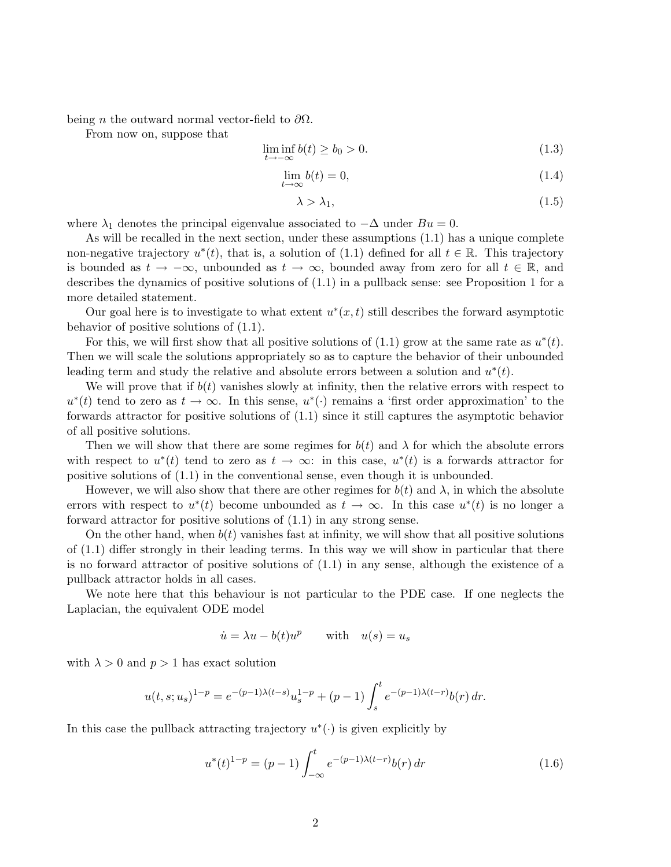being *n* the outward normal vector-field to  $\partial\Omega$ .

From now on, suppose that

$$
\liminf_{t \to -\infty} b(t) \ge b_0 > 0. \tag{1.3}
$$

$$
\lim_{t \to \infty} b(t) = 0,\tag{1.4}
$$

$$
\lambda > \lambda_1,\tag{1.5}
$$

where  $\lambda_1$  denotes the principal eigenvalue associated to  $-\Delta$  under  $Bu = 0$ .

As will be recalled in the next section, under these assumptions (1.1) has a unique complete non-negative trajectory  $u^*(t)$ , that is, a solution of (1.1) defined for all  $t \in \mathbb{R}$ . This trajectory is bounded as  $t \to -\infty$ , unbounded as  $t \to \infty$ , bounded away from zero for all  $t \in \mathbb{R}$ , and describes the dynamics of positive solutions of (1.1) in a pullback sense: see Proposition 1 for a more detailed statement.

Our goal here is to investigate to what extent  $u^*(x,t)$  still describes the forward asymptotic behavior of positive solutions of (1.1).

For this, we will first show that all positive solutions of  $(1.1)$  grow at the same rate as  $u^*(t)$ . Then we will scale the solutions appropriately so as to capture the behavior of their unbounded leading term and study the relative and absolute errors between a solution and  $u^*(t)$ .

We will prove that if  $b(t)$  vanishes slowly at infinity, then the relative errors with respect to  $u^*(t)$  tend to zero as  $t \to \infty$ . In this sense,  $u^*(\cdot)$  remains a 'first order approximation' to the forwards attractor for positive solutions of (1.1) since it still captures the asymptotic behavior of all positive solutions.

Then we will show that there are some regimes for  $b(t)$  and  $\lambda$  for which the absolute errors with respect to  $u^*(t)$  tend to zero as  $t \to \infty$ : in this case,  $u^*(t)$  is a forwards attractor for positive solutions of (1.1) in the conventional sense, even though it is unbounded.

However, we will also show that there are other regimes for  $b(t)$  and  $\lambda$ , in which the absolute errors with respect to  $u^*(t)$  become unbounded as  $t \to \infty$ . In this case  $u^*(t)$  is no longer a forward attractor for positive solutions of (1.1) in any strong sense.

On the other hand, when  $b(t)$  vanishes fast at infinity, we will show that all positive solutions of (1.1) differ strongly in their leading terms. In this way we will show in particular that there is no forward attractor of positive solutions of (1.1) in any sense, although the existence of a pullback attractor holds in all cases.

We note here that this behaviour is not particular to the PDE case. If one neglects the Laplacian, the equivalent ODE model

$$
\dot{u} = \lambda u - b(t)u^p \qquad \text{with} \quad u(s) = u_s
$$

with  $\lambda > 0$  and  $p > 1$  has exact solution

$$
u(t,s;u_s)^{1-p} = e^{-(p-1)\lambda(t-s)}u_s^{1-p} + (p-1)\int_s^t e^{-(p-1)\lambda(t-r)}b(r) dr.
$$

In this case the pullback attracting trajectory  $u^*(\cdot)$  is given explicitly by

$$
u^*(t)^{1-p} = (p-1) \int_{-\infty}^t e^{-(p-1)\lambda(t-r)} b(r) \, dr \tag{1.6}
$$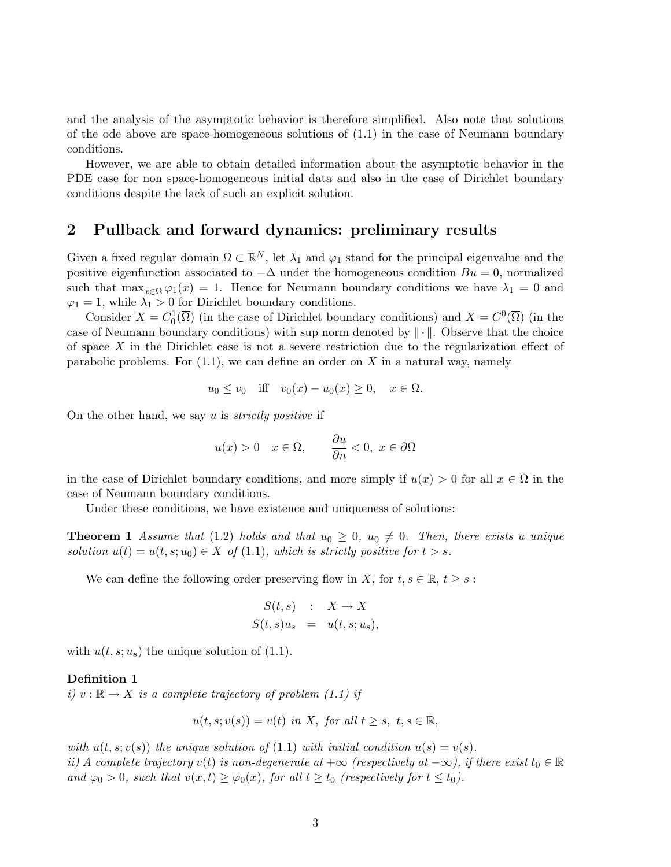and the analysis of the asymptotic behavior is therefore simplified. Also note that solutions of the ode above are space-homogeneous solutions of (1.1) in the case of Neumann boundary conditions.

However, we are able to obtain detailed information about the asymptotic behavior in the PDE case for non space-homogeneous initial data and also in the case of Dirichlet boundary conditions despite the lack of such an explicit solution.

## 2 Pullback and forward dynamics: preliminary results

Given a fixed regular domain  $\Omega \subset \mathbb{R}^N$ , let  $\lambda_1$  and  $\varphi_1$  stand for the principal eigenvalue and the positive eigenfunction associated to  $-\Delta$  under the homogeneous condition  $Bu = 0$ , normalized such that  $\max_{x \in \bar{\Omega}} \varphi_1(x) = 1$ . Hence for Neumann boundary conditions we have  $\lambda_1 = 0$  and  $\varphi_1 = 1$ , while  $\lambda_1 > 0$  for Dirichlet boundary conditions.

Consider  $X = C_0^1(\overline{\Omega})$  (in the case of Dirichlet boundary conditions) and  $X = C^0(\overline{\Omega})$  (in the case of Neumann boundary conditions) with sup norm denoted by  $\|\cdot\|$ . Observe that the choice of space  $X$  in the Dirichlet case is not a severe restriction due to the regularization effect of parabolic problems. For  $(1.1)$ , we can define an order on X in a natural way, namely

$$
u_0 \le v_0
$$
 iff  $v_0(x) - u_0(x) \ge 0$ ,  $x \in \Omega$ .

On the other hand, we say u is *strictly positive* if

$$
u(x) > 0
$$
  $x \in \Omega$ ,  $\frac{\partial u}{\partial n} < 0$ ,  $x \in \partial \Omega$ 

in the case of Dirichlet boundary conditions, and more simply if  $u(x) > 0$  for all  $x \in \overline{\Omega}$  in the case of Neumann boundary conditions.

Under these conditions, we have existence and uniqueness of solutions:

**Theorem 1** Assume that (1.2) holds and that  $u_0 \geq 0$ ,  $u_0 \neq 0$ . Then, there exists a unique solution  $u(t) = u(t, s; u_0) \in X$  of (1.1), which is strictly positive for  $t > s$ .

We can define the following order preserving flow in X, for  $t, s \in \mathbb{R}, t \geq s$ :

$$
S(t,s) : X \to X
$$
  

$$
S(t,s)u_s = u(t,s;u_s),
$$

with  $u(t, s; u_s)$  the unique solution of (1.1).

#### Definition 1

i)  $v : \mathbb{R} \to X$  is a complete trajectory of problem (1.1) if

$$
u(t, s; v(s)) = v(t) \text{ in } X, \text{ for all } t \ge s, \ t, s \in \mathbb{R},
$$

with  $u(t, s; v(s))$  the unique solution of (1.1) with initial condition  $u(s) = v(s)$ . ii) A complete trajectory v(t) is non-degenerate at  $+\infty$  (respectively at  $-\infty$ ), if there exist  $t_0 \in \mathbb{R}$ and  $\varphi_0 > 0$ , such that  $v(x, t) \geq \varphi_0(x)$ , for all  $t \geq t_0$  (respectively for  $t \leq t_0$ ).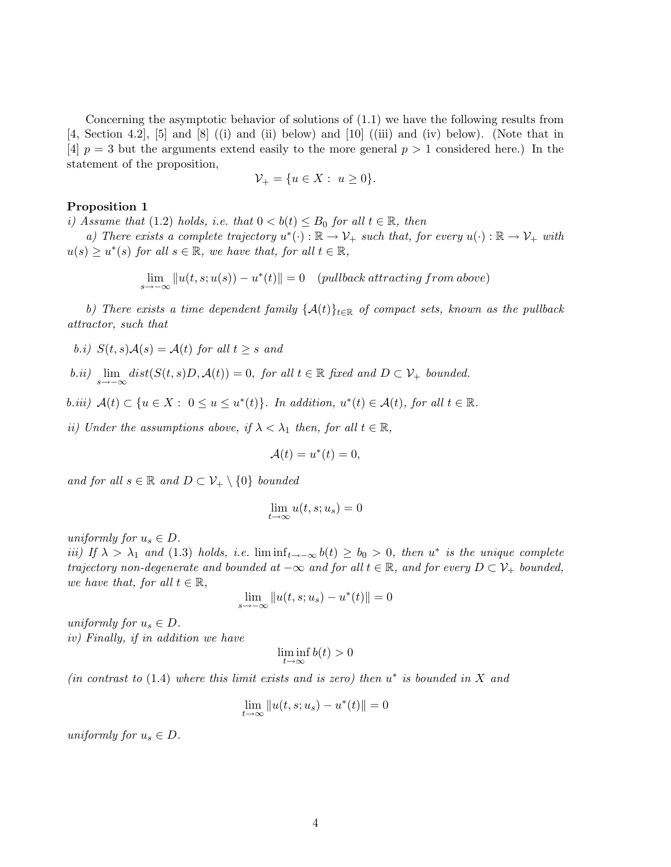Concerning the asymptotic behavior of solutions of (1.1) we have the following results from [4, Section 4.2], [5] and [8] ((i) and (ii) below) and [10] ((iii) and (iv) below). (Note that in [4]  $p = 3$  but the arguments extend easily to the more general  $p > 1$  considered here.) In the statement of the proposition,

$$
\mathcal{V}_+ = \{ u \in X : u \ge 0 \}.
$$

#### Proposition 1

i) Assume that (1.2) holds, i.e. that  $0 < b(t) \leq B_0$  for all  $t \in \mathbb{R}$ , then

a) There exists a complete trajectory  $u^*(\cdot): \mathbb{R} \to \mathcal{V}_+$  such that, for every  $u(\cdot): \mathbb{R} \to \mathcal{V}_+$  with  $u(s) \geq u^*(s)$  for all  $s \in \mathbb{R}$ , we have that, for all  $t \in \mathbb{R}$ ,

lim  $||u(t, s; u(s)) - u^*(t)|| = 0$  (pullback attracting from above)

b) There exists a time dependent family  $\{\mathcal{A}(t)\}_{t\in\mathbb{R}}$  of compact sets, known as the pullback attractor, such that

b.i)  $S(t, s)A(s) = A(t)$  for all  $t \geq s$  and

b.ii) 
$$
\lim_{s\to-\infty} dist(S(t,s)D, \mathcal{A}(t)) = 0
$$
, for all  $t \in \mathbb{R}$  fixed and  $D \subset \mathcal{V}_+$  bounded.

b.iii)  $A(t) \subset \{u \in X : 0 \le u \le u^*(t)\}.$  In addition,  $u^*(t) \in A(t)$ , for all  $t \in \mathbb{R}$ .

ii) Under the assumptions above, if  $\lambda < \lambda_1$  then, for all  $t \in \mathbb{R}$ ,

$$
\mathcal{A}(t) = u^*(t) = 0,
$$

and for all  $s \in \mathbb{R}$  and  $D \subset \mathcal{V}_+ \setminus \{0\}$  bounded

$$
\lim_{t \to \infty} u(t, s; u_s) = 0
$$

uniformly for  $u_s \in D$ .

iii) If  $\lambda > \lambda_1$  and (1.3) holds, i.e.  $\liminf_{t\to-\infty} b(t) \ge b_0 > 0$ , then u<sup>\*</sup> is the unique complete trajectory non-degenerate and bounded at  $-\infty$  and for all  $t \in \mathbb{R}$ , and for every  $D \subset \mathcal{V}_+$  bounded, we have that, for all  $t \in \mathbb{R}$ ,

$$
\lim_{s \to -\infty} \|u(t, s; u_s) - u^*(t)\| = 0
$$

uniformly for  $u_s \in D$ . iv) Finally, if in addition we have

$$
\liminf_{t\to\infty}b(t)>0
$$

(in contrast to  $(1.4)$  where this limit exists and is zero) then  $u^*$  is bounded in X and

$$
\lim_{t \to \infty} \|u(t, s; u_s) - u^*(t)\| = 0
$$

uniformly for  $u_s \in D$ .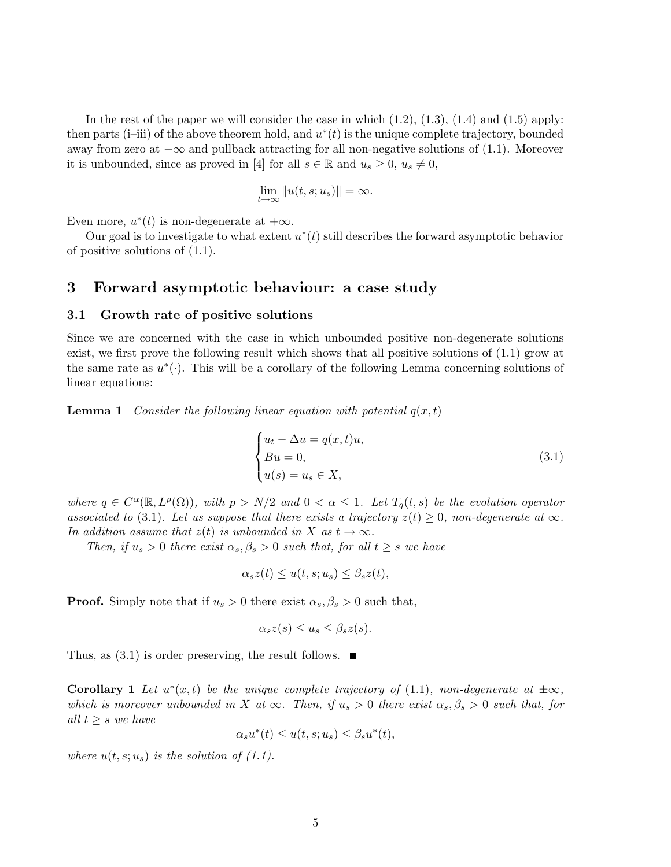In the rest of the paper we will consider the case in which  $(1.2)$ ,  $(1.3)$ ,  $(1.4)$  and  $(1.5)$  apply: then parts (i–iii) of the above theorem hold, and  $u^*(t)$  is the unique complete trajectory, bounded away from zero at  $-\infty$  and pullback attracting for all non-negative solutions of (1.1). Moreover it is unbounded, since as proved in [4] for all  $s \in \mathbb{R}$  and  $u_s \geq 0$ ,  $u_s \neq 0$ ,

$$
\lim_{t\to\infty}||u(t,s;u_s)||=\infty.
$$

Even more,  $u^*(t)$  is non-degenerate at  $+\infty$ .

Our goal is to investigate to what extent  $u^*(t)$  still describes the forward asymptotic behavior of positive solutions of (1.1).

## 3 Forward asymptotic behaviour: a case study

#### 3.1 Growth rate of positive solutions

Since we are concerned with the case in which unbounded positive non-degenerate solutions exist, we first prove the following result which shows that all positive solutions of (1.1) grow at the same rate as  $u^*(\cdot)$ . This will be a corollary of the following Lemma concerning solutions of linear equations:

**Lemma 1** Consider the following linear equation with potential  $q(x, t)$ 

$$
\begin{cases}\n u_t - \Delta u = q(x, t)u, \\
 Bu = 0, \\
 u(s) = u_s \in X,\n\end{cases}
$$
\n(3.1)

where  $q \in C^{\alpha}(\mathbb{R}, L^p(\Omega))$ , with  $p > N/2$  and  $0 < \alpha \leq 1$ . Let  $T_q(t, s)$  be the evolution operator associated to (3.1). Let us suppose that there exists a trajectory  $z(t) \geq 0$ , non-degenerate at  $\infty$ . In addition assume that  $z(t)$  is unbounded in X as  $t \to \infty$ .

Then, if  $u_s > 0$  there exist  $\alpha_s, \beta_s > 0$  such that, for all  $t \geq s$  we have

$$
\alpha_s z(t) \le u(t, s; u_s) \le \beta_s z(t),
$$

**Proof.** Simply note that if  $u_s > 0$  there exist  $\alpha_s, \beta_s > 0$  such that,

$$
\alpha_s z(s) \le u_s \le \beta_s z(s).
$$

Thus, as  $(3.1)$  is order preserving, the result follows.  $\blacksquare$ 

**Corollary 1** Let  $u^*(x,t)$  be the unique complete trajectory of (1.1), non-degenerate at  $\pm \infty$ , which is moreover unbounded in X at  $\infty$ . Then, if  $u_s > 0$  there exist  $\alpha_s, \beta_s > 0$  such that, for all  $t \geq s$  we have

$$
\alpha_s u^*(t) \le u(t, s; u_s) \le \beta_s u^*(t),
$$

where  $u(t, s; u_s)$  is the solution of (1.1).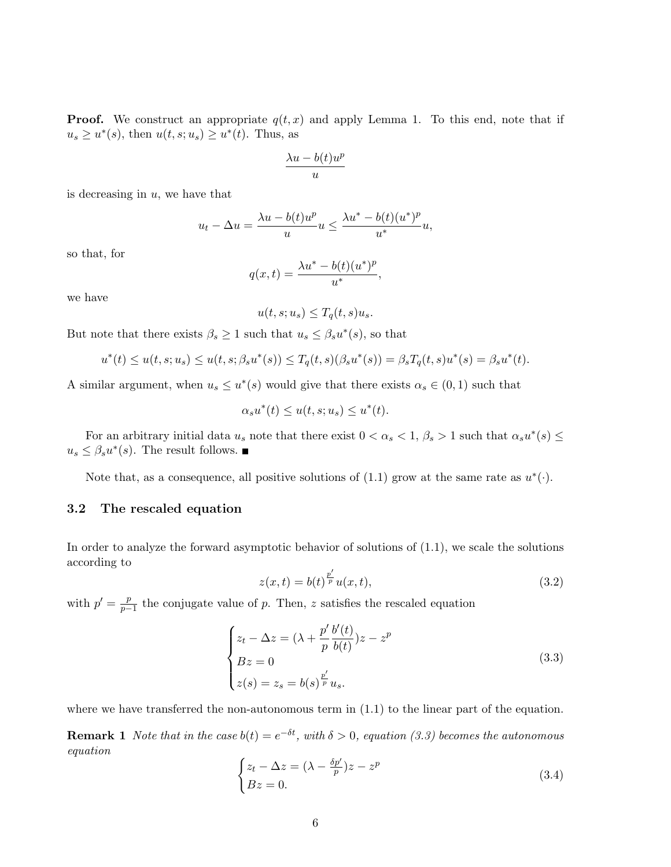**Proof.** We construct an appropriate  $q(t, x)$  and apply Lemma 1. To this end, note that if  $u_s \geq u^*(s)$ , then  $u(t, s; u_s) \geq u^*(t)$ . Thus, as

$$
\frac{\lambda u - b(t) u^p}{u}
$$

is decreasing in  $u$ , we have that

$$
u_t - \Delta u = \frac{\lambda u - b(t)u^p}{u}u \le \frac{\lambda u^* - b(t)(u^*)^p}{u^*}u,
$$

so that, for

$$
q(x,t) = \frac{\lambda u^* - b(t)(u^*)^p}{u^*},
$$

we have

$$
u(t, s; u_s) \le T_q(t, s)u_s.
$$

But note that there exists  $\beta_s \geq 1$  such that  $u_s \leq \beta_s u^*(s)$ , so that

$$
u^*(t) \le u(t, s; u_s) \le u(t, s; \beta_s u^*(s)) \le T_q(t, s)(\beta_s u^*(s)) = \beta_s T_q(t, s) u^*(s) = \beta_s u^*(t).
$$

A similar argument, when  $u_s \leq u^*(s)$  would give that there exists  $\alpha_s \in (0,1)$  such that

$$
\alpha_s u^*(t) \le u(t, s; u_s) \le u^*(t).
$$

For an arbitrary initial data  $u_s$  note that there exist  $0 < \alpha_s < 1, \beta_s > 1$  such that  $\alpha_s u^*(s) \leq$  $u_s \leq \beta_s u^*(s)$ . The result follows.

Note that, as a consequence, all positive solutions of  $(1.1)$  grow at the same rate as  $u^*(\cdot)$ .

## 3.2 The rescaled equation

In order to analyze the forward asymptotic behavior of solutions of (1.1), we scale the solutions according to

$$
z(x,t) = b(t)^{\frac{p'}{p}} u(x,t),
$$
\n(3.2)

with  $p' = \frac{p}{p}$  $\frac{p}{p-1}$  the conjugate value of p. Then, z satisfies the rescaled equation

$$
\begin{cases} z_t - \Delta z = (\lambda + \frac{p'}{p} \frac{b'(t)}{b(t)}) z - z^p \\ Bz = 0 \\ z(s) = z_s = b(s)^{\frac{p'}{p}} u_s. \end{cases}
$$
(3.3)

where we have transferred the non-autonomous term in  $(1.1)$  to the linear part of the equation.

**Remark 1** Note that in the case  $b(t) = e^{-\delta t}$ , with  $\delta > 0$ , equation (3.3) becomes the autonomous equation

$$
\begin{cases} z_t - \Delta z = (\lambda - \frac{\delta p'}{p})z - z^p \\ Bz = 0. \end{cases}
$$
 (3.4)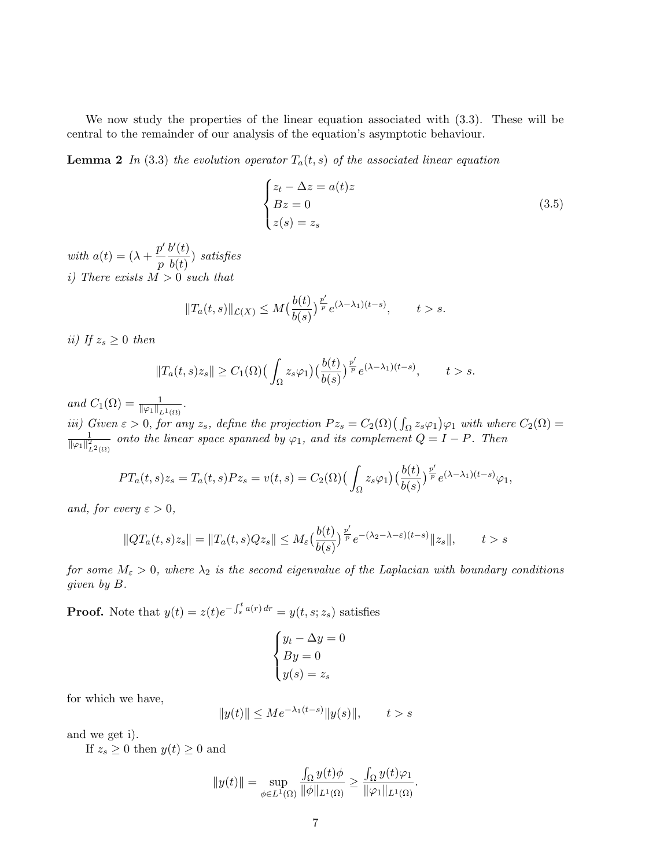We now study the properties of the linear equation associated with (3.3). These will be central to the remainder of our analysis of the equation's asymptotic behaviour.

**Lemma 2** In (3.3) the evolution operator  $T_a(t, s)$  of the associated linear equation

$$
\begin{cases}\n z_t - \Delta z = a(t)z \\
 Bz = 0 \\
 z(s) = z_s\n\end{cases}
$$
\n(3.5)

with  $a(t) = (\lambda + \frac{p'}{p})$ p  $b'(t)$  $\frac{\partial}{\partial b(t)}$  satisfies i) There exists  $M > 0$  such that

$$
||T_a(t,s)||_{\mathcal{L}(X)} \le M\left(\frac{b(t)}{b(s)}\right)^{\frac{p'}{p}} e^{(\lambda-\lambda_1)(t-s)}, \qquad t > s.
$$

ii) If  $z_s \geq 0$  then

$$
||T_a(t,s)z_s|| \geq C_1(\Omega) \Big(\int_{\Omega} z_s \varphi_1\Big) \Big(\frac{b(t)}{b(s)}\Big)^{\frac{p'}{p}} e^{(\lambda - \lambda_1)(t-s)}, \qquad t > s.
$$

and  $C_1(\Omega) = \frac{1}{\|\varphi_1\|_{L^1(\Omega)}}$ .

iii) Given  $\varepsilon > 0$ , for any  $z_s$ , define the projection  $Pz_s = C_2(\Omega) \left( \int_{\Omega} z_s \varphi_1 \right) \varphi_1$  with where  $C_2(\Omega) =$ <br> $\frac{1}{\omega}$  anto the linear space spanned by  $\varphi_s$  and its complement  $O-I$ ,  $P$ . Then  $\frac{1}{\|\varphi_1\|_{L^2(\Omega)}^2}$  onto the linear space spanned by  $\varphi_1$ , and its complement  $Q = I - P$ . Then

$$
PT_a(t,s)z_s = T_a(t,s)Pz_s = v(t,s) = C_2(\Omega)\left(\int_{\Omega} z_s \varphi_1\right) \left(\frac{b(t)}{b(s)}\right)^{\frac{p'}{p}} e^{(\lambda - \lambda_1)(t-s)}\varphi_1,
$$

and, for every  $\varepsilon > 0$ ,

$$
||QT_a(t,s)z_s|| = ||T_a(t,s)Qz_s|| \leq M_{\varepsilon} \left(\frac{b(t)}{b(s)}\right)^{\frac{p'}{p}} e^{-\left(\lambda_2 - \lambda - \varepsilon\right)(t-s)} ||z_s||, \qquad t > s
$$

for some  $M_{\varepsilon} > 0$ , where  $\lambda_2$  is the second eigenvalue of the Laplacian with boundary conditions given by B.

**Proof.** Note that  $y(t) = z(t)e^{-\int_s^t a(r) dr} = y(t, s; z_s)$  satisfies

$$
\begin{cases} y_t - \Delta y = 0 \\ By = 0 \\ y(s) = z_s \end{cases}
$$

for which we have,

$$
||y(t)|| \le Me^{-\lambda_1(t-s)}||y(s)||,
$$
  $t > s$ 

and we get i).

If  $z_s \geq 0$  then  $y(t) \geq 0$  and

$$
||y(t)|| = \sup_{\phi \in L^1(\Omega)} \frac{\int_{\Omega} y(t) \phi}{||\phi||_{L^1(\Omega)}} \ge \frac{\int_{\Omega} y(t) \varphi_1}{||\varphi_1||_{L^1(\Omega)}}.
$$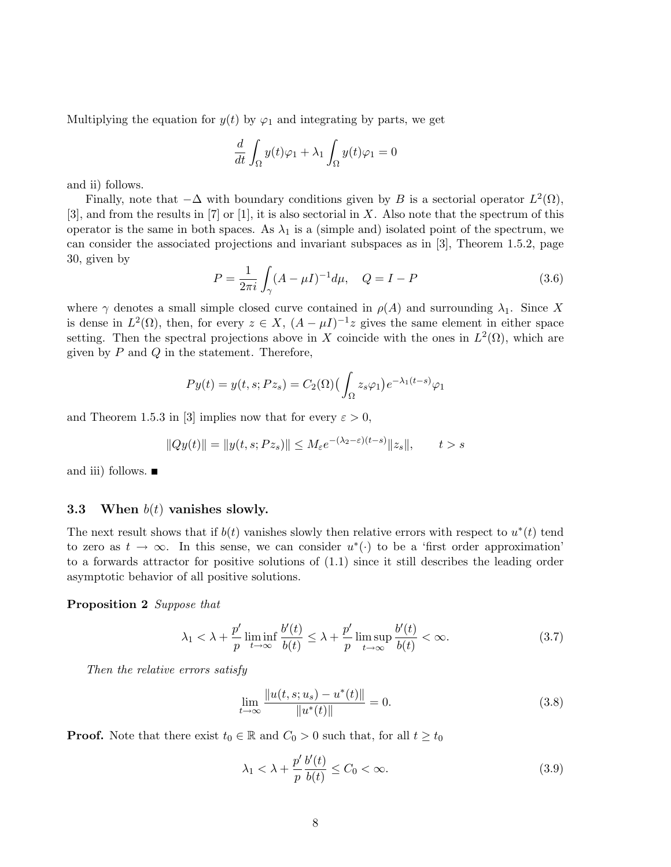Multiplying the equation for  $y(t)$  by  $\varphi_1$  and integrating by parts, we get

$$
\frac{d}{dt} \int_{\Omega} y(t)\varphi_1 + \lambda_1 \int_{\Omega} y(t)\varphi_1 = 0
$$

and ii) follows.

Finally, note that  $-\Delta$  with boundary conditions given by B is a sectorial operator  $L^2(\Omega)$ ,  $[3]$ , and from the results in  $[7]$  or  $[1]$ , it is also sectorial in X. Also note that the spectrum of this operator is the same in both spaces. As  $\lambda_1$  is a (simple and) isolated point of the spectrum, we can consider the associated projections and invariant subspaces as in [3], Theorem 1.5.2, page 30, given by

$$
P = \frac{1}{2\pi i} \int_{\gamma} (A - \mu I)^{-1} d\mu, \quad Q = I - P \tag{3.6}
$$

where  $\gamma$  denotes a small simple closed curve contained in  $\rho(A)$  and surrounding  $\lambda_1$ . Since X is dense in  $L^2(\Omega)$ , then, for every  $z \in X$ ,  $(A - \mu I)^{-1}z$  gives the same element in either space setting. Then the spectral projections above in X coincide with the ones in  $L^2(\Omega)$ , which are given by  $P$  and  $Q$  in the statement. Therefore,

$$
Py(t) = y(t, s; Pz_s) = C_2(\Omega) \left( \int_{\Omega} z_s \varphi_1 \right) e^{-\lambda_1 (t-s)} \varphi_1
$$

and Theorem 1.5.3 in [3] implies now that for every  $\varepsilon > 0$ ,

$$
||Qy(t)|| = ||y(t, s; Pz_s)|| \le M_\varepsilon e^{-(\lambda_2 - \varepsilon)(t-s)} ||z_s||, \qquad t > s
$$

and iii) follows.

#### 3.3 When  $b(t)$  vanishes slowly.

The next result shows that if  $b(t)$  vanishes slowly then relative errors with respect to  $u^*(t)$  tend to zero as  $t \to \infty$ . In this sense, we can consider  $u^*(\cdot)$  to be a 'first order approximation' to a forwards attractor for positive solutions of (1.1) since it still describes the leading order asymptotic behavior of all positive solutions.

Proposition 2 Suppose that

$$
\lambda_1 < \lambda + \frac{p'}{p} \liminf_{t \to \infty} \frac{b'(t)}{b(t)} \le \lambda + \frac{p'}{p} \limsup_{t \to \infty} \frac{b'(t)}{b(t)} < \infty. \tag{3.7}
$$

Then the relative errors satisfy

$$
\lim_{t \to \infty} \frac{\|u(t, s; u_s) - u^*(t)\|}{\|u^*(t)\|} = 0.
$$
\n(3.8)

**Proof.** Note that there exist  $t_0 \in \mathbb{R}$  and  $C_0 > 0$  such that, for all  $t \geq t_0$ 

$$
\lambda_1 < \lambda + \frac{p'}{p} \frac{b'(t)}{b(t)} \le C_0 < \infty. \tag{3.9}
$$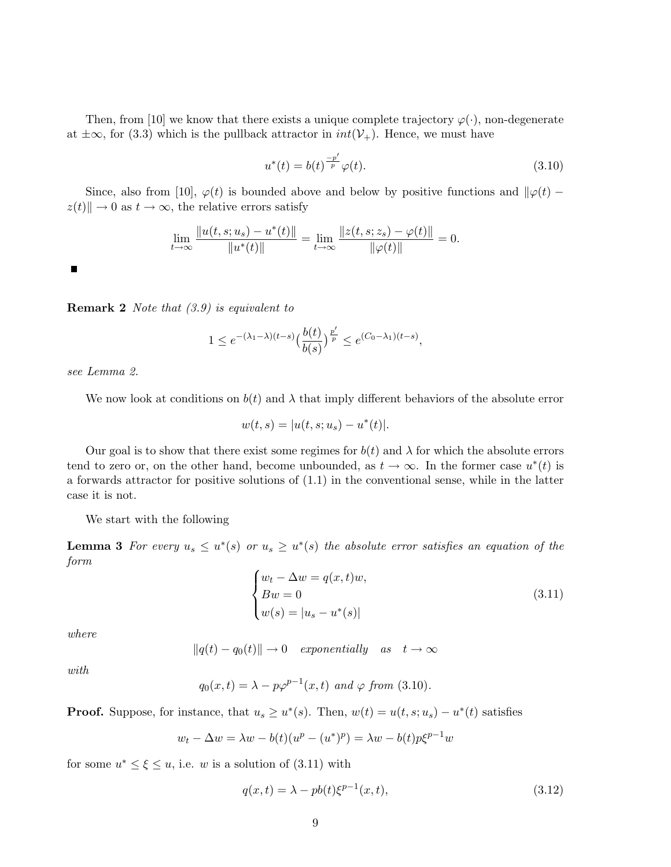Then, from [10] we know that there exists a unique complete trajectory  $\varphi(\cdot)$ , non-degenerate at  $\pm \infty$ , for (3.3) which is the pullback attractor in  $int(\mathcal{V}_+)$ . Hence, we must have

$$
u^*(t) = b(t)^{\frac{-p'}{p}} \varphi(t).
$$
\n(3.10)

Since, also from [10],  $\varphi(t)$  is bounded above and below by positive functions and  $\|\varphi(t)$  $z(t)\| \to 0$  as  $t \to \infty$ , the relative errors satisfy

$$
\lim_{t \to \infty} \frac{\|u(t, s; u_s) - u^*(t)\|}{\|u^*(t)\|} = \lim_{t \to \infty} \frac{\|z(t, s; z_s) - \varphi(t)\|}{\|\varphi(t)\|} = 0.
$$

 $\blacksquare$ 

Remark 2 Note that (3.9) is equivalent to

$$
1 \leq e^{-(\lambda_1 - \lambda)(t-s)} \left(\frac{b(t)}{b(s)}\right)^{\frac{p'}{p}} \leq e^{(C_0 - \lambda_1)(t-s)},
$$

see Lemma 2.

We now look at conditions on  $b(t)$  and  $\lambda$  that imply different behaviors of the absolute error

$$
w(t,s) = |u(t,s;u_s) - u^*(t)|.
$$

Our goal is to show that there exist some regimes for  $b(t)$  and  $\lambda$  for which the absolute errors tend to zero or, on the other hand, become unbounded, as  $t \to \infty$ . In the former case  $u^*(t)$  is a forwards attractor for positive solutions of (1.1) in the conventional sense, while in the latter case it is not.

We start with the following

**Lemma 3** For every  $u_s \leq u^*(s)$  or  $u_s \geq u^*(s)$  the absolute error satisfies an equation of the form

$$
\begin{cases} w_t - \Delta w = q(x, t)w, \\ Bw = 0 \\ w(s) = |u_s - u^*(s)| \end{cases}
$$
\n(3.11)

where

$$
||q(t) - q_0(t)|| \to 0 \quad exponentially \quad as \quad t \to \infty
$$

with

$$
q_0(x,t) = \lambda - p\varphi^{p-1}(x,t) \text{ and } \varphi \text{ from (3.10)}.
$$

**Proof.** Suppose, for instance, that  $u_s \geq u^*(s)$ . Then,  $w(t) = u(t, s; u_s) - u^*(t)$  satisfies

$$
w_t - \Delta w = \lambda w - b(t)(u^p - (u^*)^p) = \lambda w - b(t)p\xi^{p-1}w
$$

for some  $u^* \leq \xi \leq u$ , i.e. w is a solution of (3.11) with

$$
q(x,t) = \lambda - pb(t)\xi^{p-1}(x,t),\tag{3.12}
$$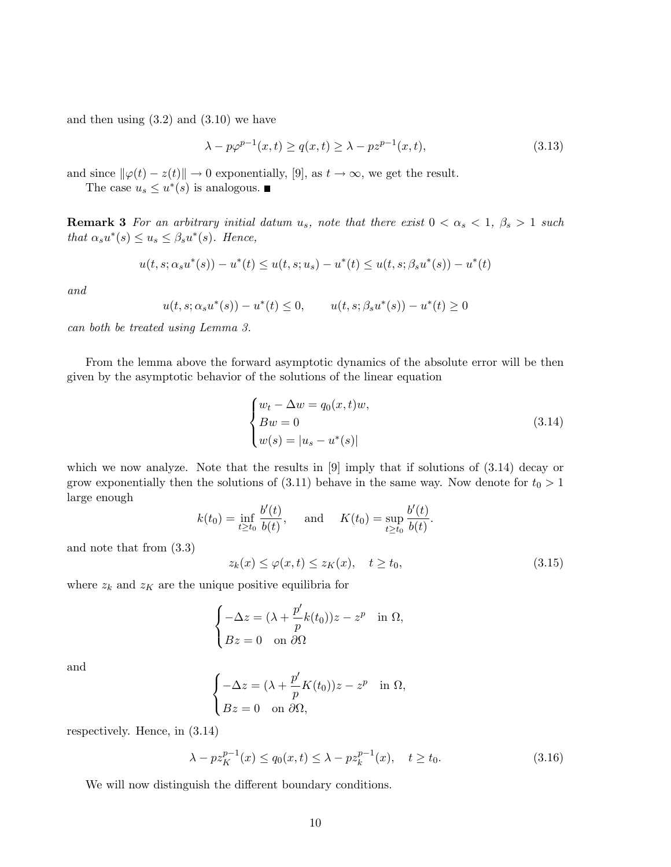and then using  $(3.2)$  and  $(3.10)$  we have

$$
\lambda - p\varphi^{p-1}(x,t) \ge q(x,t) \ge \lambda - pz^{p-1}(x,t),\tag{3.13}
$$

and since  $\|\varphi(t) - z(t)\| \to 0$  exponentially, [9], as  $t \to \infty$ , we get the result.

The case  $u_s \leq u^*(s)$  is analogous.

**Remark 3** For an arbitrary initial datum u<sub>s</sub>, note that there exist  $0 < \alpha_s < 1$ ,  $\beta_s > 1$  such that  $\alpha_s u^*(s) \leq u_s \leq \beta_s u^*(s)$ . Hence,

$$
u(t, s; \alpha_s u^*(s)) - u^*(t) \le u(t, s; u_s) - u^*(t) \le u(t, s; \beta_s u^*(s)) - u^*(t)
$$

and

$$
u(t, s; \alpha_s u^*(s)) - u^*(t) \le 0,
$$
  $u(t, s; \beta_s u^*(s)) - u^*(t) \ge 0$ 

can both be treated using Lemma 3.

From the lemma above the forward asymptotic dynamics of the absolute error will be then given by the asymptotic behavior of the solutions of the linear equation

$$
\begin{cases}\nw_t - \Delta w = q_0(x, t)w, \\
Bw = 0 \\
w(s) = |u_s - u^*(s)|\n\end{cases}
$$
\n(3.14)

which we now analyze. Note that the results in [9] imply that if solutions of  $(3.14)$  decay or grow exponentially then the solutions of (3.11) behave in the same way. Now denote for  $t_0 > 1$ large enough

$$
k(t_0) = \inf_{t \ge t_0} \frac{b'(t)}{b(t)},
$$
 and  $K(t_0) = \sup_{t \ge t_0} \frac{b'(t)}{b(t)}.$ 

and note that from (3.3)

$$
z_k(x) \le \varphi(x,t) \le z_K(x), \quad t \ge t_0,
$$
\n(3.15)

where  $z_k$  and  $z_k$  are the unique positive equilibria for

$$
\begin{cases}\n-\Delta z = (\lambda + \frac{p'}{p}k(t_0))z - z^p & \text{in } \Omega, \\
Bz = 0 & \text{on } \partial\Omega\n\end{cases}
$$

and

$$
\begin{cases}\n-\Delta z = (\lambda + \frac{p'}{p} K(t_0)) z - z^p & \text{in } \Omega, \\
Bz = 0 & \text{on } \partial\Omega,\n\end{cases}
$$

respectively. Hence, in (3.14)

$$
\lambda - p z_K^{p-1}(x) \le q_0(x, t) \le \lambda - p z_k^{p-1}(x), \quad t \ge t_0.
$$
\n(3.16)

We will now distinguish the different boundary conditions.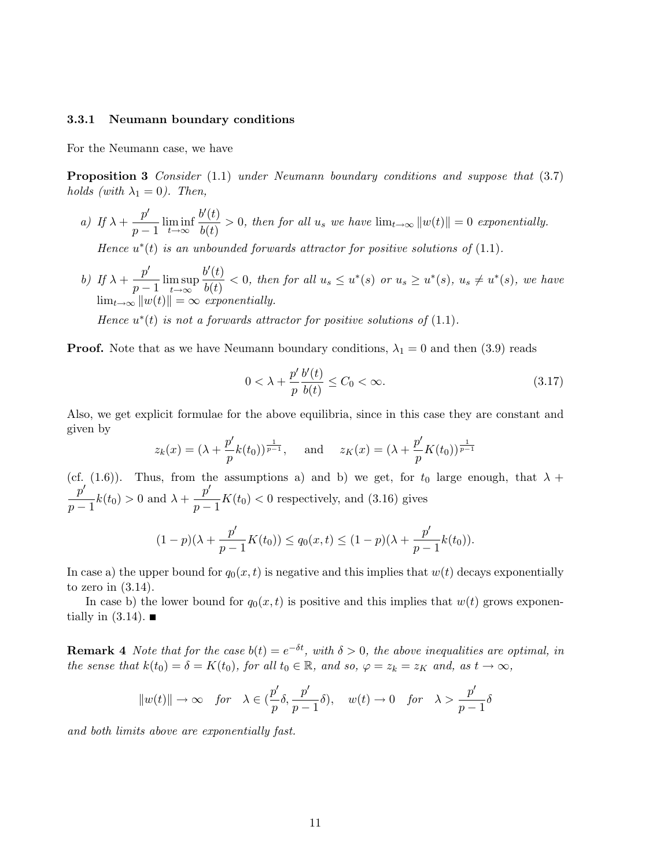#### 3.3.1 Neumann boundary conditions

For the Neumann case, we have

**Proposition 3** Consider (1.1) under Neumann boundary conditions and suppose that (3.7) holds (with  $\lambda_1 = 0$ ). Then,

a) If  $\lambda + \frac{p'}{p}$  $\frac{P}{p-1}$   $\liminf_{t\to\infty}$  $b'(t)$  $\frac{\partial \phi(t)}{\partial t(t)} > 0$ , then for all  $u_s$  we have  $\lim_{t \to \infty} ||w(t)|| = 0$  exponentially.

Hence  $u^*(t)$  is an unbounded forwards attractor for positive solutions of  $(1.1)$ .

b) If  $\lambda + \frac{p'}{p}$  $\frac{P}{p-1}$   $\limsup_{t\to\infty}$  $t\rightarrow\infty$  $b'(t)$  $\frac{\partial u(t)}{\partial(t)} < 0$ , then for all  $u_s \leq u^*(s)$  or  $u_s \geq u^*(s)$ ,  $u_s \neq u^*(s)$ , we have  $\lim_{t\to\infty} ||w(t)|| = \infty$  exponentially.

Hence  $u^*(t)$  is not a forwards attractor for positive solutions of  $(1.1)$ .

**Proof.** Note that as we have Neumann boundary conditions,  $\lambda_1 = 0$  and then (3.9) reads

$$
0 < \lambda + \frac{p'}{p} \frac{b'(t)}{b(t)} \le C_0 < \infty. \tag{3.17}
$$

Also, we get explicit formulae for the above equilibria, since in this case they are constant and given by

$$
z_k(x) = (\lambda + \frac{p'}{p}k(t_0))^{\frac{1}{p-1}},
$$
 and  $z_K(x) = (\lambda + \frac{p'}{p}K(t_0))^{\frac{1}{p-1}}$ 

(cf. (1.6)). Thus, from the assumptions a) and b) we get, for  $t_0$  large enough, that  $\lambda$  +  $p^{\prime}$  $\frac{p'}{p-1}k(t_0) > 0 \text{ and } \lambda + \frac{p'}{p-1}$  $\frac{P}{p-1}K(t_0) < 0$  respectively, and (3.16) gives

$$
(1-p)(\lambda + \frac{p'}{p-1}K(t_0)) \le q_0(x,t) \le (1-p)(\lambda + \frac{p'}{p-1}k(t_0)).
$$

In case a) the upper bound for  $q_0(x, t)$  is negative and this implies that  $w(t)$  decays exponentially to zero in (3.14).

In case b) the lower bound for  $q_0(x, t)$  is positive and this implies that  $w(t)$  grows exponentially in  $(3.14)$ .

**Remark 4** Note that for the case  $b(t) = e^{-\delta t}$ , with  $\delta > 0$ , the above inequalities are optimal, in the sense that  $k(t_0) = \delta = K(t_0)$ , for all  $t_0 \in \mathbb{R}$ , and so,  $\varphi = z_k = z_K$  and, as  $t \to \infty$ ,

$$
||w(t)|| \to \infty
$$
 for  $\lambda \in (\frac{p'}{p}\delta, \frac{p'}{p-1}\delta)$ ,  $w(t) \to 0$  for  $\lambda > \frac{p'}{p-1}\delta$ 

and both limits above are exponentially fast.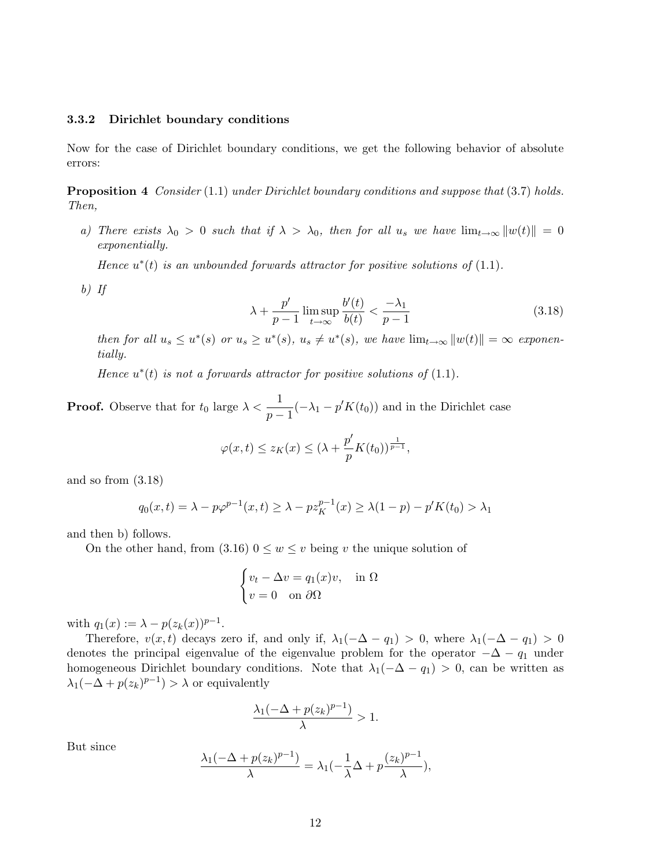## 3.3.2 Dirichlet boundary conditions

Now for the case of Dirichlet boundary conditions, we get the following behavior of absolute errors:

**Proposition 4** Consider  $(1.1)$  under Dirichlet boundary conditions and suppose that  $(3.7)$  holds. Then,

a) There exists  $\lambda_0 > 0$  such that if  $\lambda > \lambda_0$ , then for all  $u_s$  we have  $\lim_{t\to\infty} ||w(t)|| = 0$ exponentially.

Hence  $u^*(t)$  is an unbounded forwards attractor for positive solutions of  $(1.1)$ .

b) If

$$
\lambda + \frac{p'}{p-1} \limsup_{t \to \infty} \frac{b'(t)}{b(t)} < \frac{-\lambda_1}{p-1} \tag{3.18}
$$

then for all  $u_s \leq u^*(s)$  or  $u_s \geq u^*(s)$ ,  $u_s \neq u^*(s)$ , we have  $\lim_{t \to \infty} ||w(t)|| = \infty$  exponentially.

Hence  $u^*(t)$  is not a forwards attractor for positive solutions of  $(1.1)$ .

**Proof.** Observe that for  $t_0$  large  $\lambda < \frac{1}{p-1}(-\lambda_1 - p'K(t_0))$  and in the Dirichlet case

$$
\varphi(x,t) \le z_K(x) \le (\lambda + \frac{p'}{p}K(t_0))^{\frac{1}{p-1}},
$$

and so from (3.18)

$$
q_0(x,t) = \lambda - p\varphi^{p-1}(x,t) \ge \lambda - p z_K^{p-1}(x) \ge \lambda(1-p) - p'K(t_0) > \lambda_1
$$

and then b) follows.

On the other hand, from  $(3.16)$   $0 \leq w \leq v$  being v the unique solution of

$$
\begin{cases} v_t - \Delta v = q_1(x)v, & \text{in } \Omega \\ v = 0 & \text{on } \partial\Omega \end{cases}
$$

with  $q_1(x) := \lambda - p(z_k(x))^{p-1}$ .

Therefore,  $v(x, t)$  decays zero if, and only if,  $\lambda_1(-\Delta - q_1) > 0$ , where  $\lambda_1(-\Delta - q_1) > 0$ denotes the principal eigenvalue of the eigenvalue problem for the operator  $-\Delta - q_1$  under homogeneous Dirichlet boundary conditions. Note that  $\lambda_1(-\Delta - q_1) > 0$ , can be written as  $\lambda_1(-\Delta + p(z_k)^{p-1}) > \lambda$  or equivalently

$$
\frac{\lambda_1(-\Delta + p(z_k)^{p-1})}{\lambda} > 1.
$$

But since

$$
\frac{\lambda_1(-\Delta + p(z_k)^{p-1})}{\lambda} = \lambda_1(-\frac{1}{\lambda}\Delta + p\frac{(z_k)^{p-1}}{\lambda}),
$$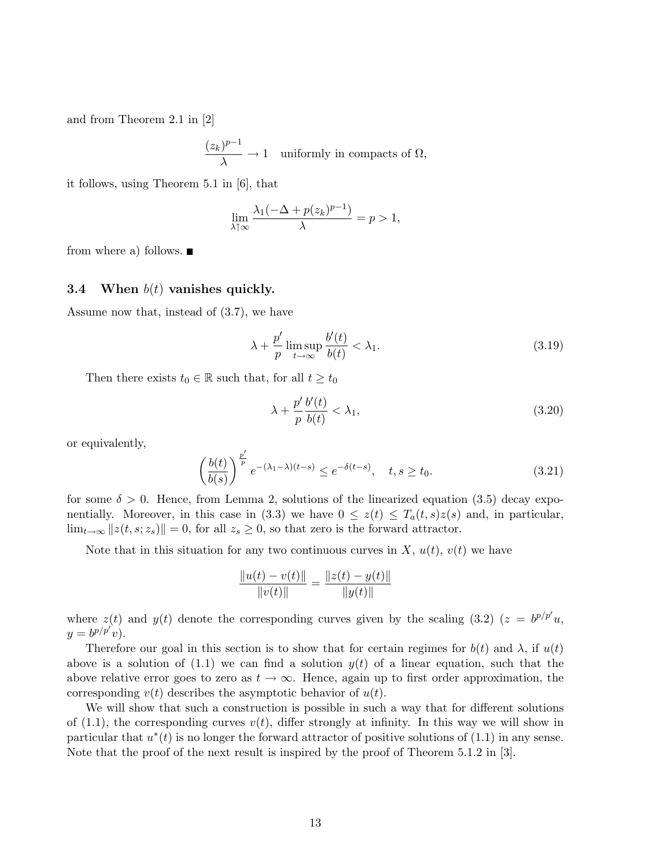and from Theorem 2.1 in [2]

$$
\frac{(z_k)^{p-1}}{\lambda} \to 1 \quad \text{uniformly in compacts of } \Omega,
$$

it follows, using Theorem 5.1 in [6], that

$$
\lim_{\lambda \uparrow \infty} \frac{\lambda_1 (-\Delta + p(z_k)^{p-1})}{\lambda} = p > 1,
$$

from where a) follows.  $\blacksquare$ 

## 3.4 When  $b(t)$  vanishes quickly.

Assume now that, instead of (3.7), we have

$$
\lambda + \frac{p'}{p} \limsup_{t \to \infty} \frac{b'(t)}{b(t)} < \lambda_1. \tag{3.19}
$$

Then there exists  $t_0 \in \mathbb{R}$  such that, for all  $t \geq t_0$ 

$$
\lambda + \frac{p'}{p} \frac{b'(t)}{b(t)} < \lambda_1,\tag{3.20}
$$

or equivalently,

$$
\left(\frac{b(t)}{b(s)}\right)^{\frac{p'}{p}}e^{-(\lambda_1-\lambda)(t-s)} \le e^{-\delta(t-s)}, \quad t, s \ge t_0. \tag{3.21}
$$

for some  $\delta > 0$ . Hence, from Lemma 2, solutions of the linearized equation (3.5) decay exponentially. Moreover, in this case in (3.3) we have  $0 \leq z(t) \leq T_a(t, s)z(s)$  and, in particular,  $\lim_{t\to\infty} ||z(t, s; z_s)|| = 0$ , for all  $z_s \geq 0$ , so that zero is the forward attractor.

Note that in this situation for any two continuous curves in X,  $u(t)$ ,  $v(t)$  we have

$$
\frac{\|u(t) - v(t)\|}{\|v(t)\|} = \frac{\|z(t) - y(t)\|}{\|y(t)\|}
$$

where  $z(t)$  and  $y(t)$  denote the corresponding curves given by the scaling (3.2)  $(z = b^{p/p'}u,$  $y=b^{p/p'}v).$ 

Therefore our goal in this section is to show that for certain regimes for  $b(t)$  and  $\lambda$ , if  $u(t)$ above is a solution of  $(1.1)$  we can find a solution  $y(t)$  of a linear equation, such that the above relative error goes to zero as  $t \to \infty$ . Hence, again up to first order approximation, the corresponding  $v(t)$  describes the asymptotic behavior of  $u(t)$ .

We will show that such a construction is possible in such a way that for different solutions of  $(1.1)$ , the corresponding curves  $v(t)$ , differ strongly at infinity. In this way we will show in particular that  $u^*(t)$  is no longer the forward attractor of positive solutions of  $(1.1)$  in any sense. Note that the proof of the next result is inspired by the proof of Theorem 5.1.2 in [3].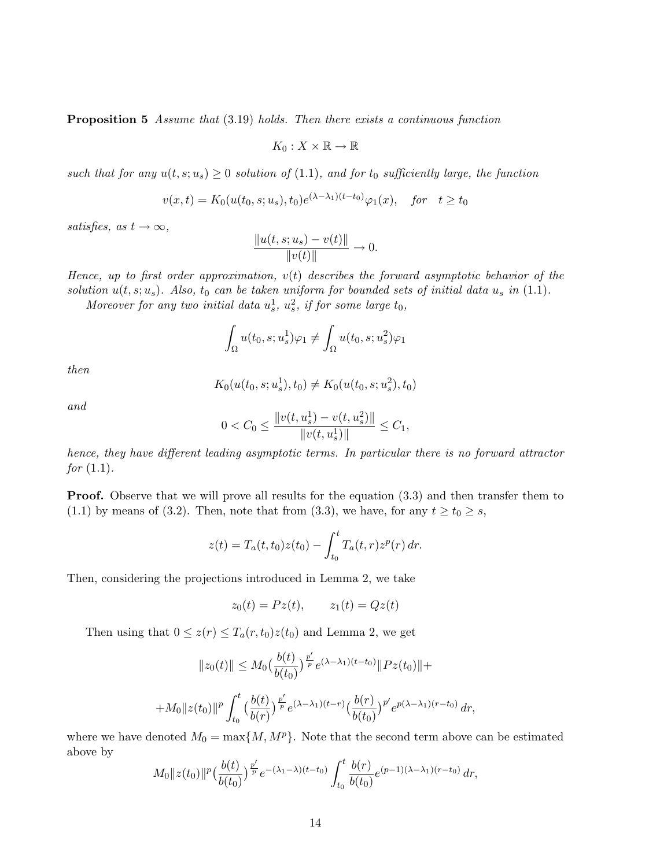Proposition 5 Assume that  $(3.19)$  holds. Then there exists a continuous function

$$
K_0:X\times\mathbb{R}\to\mathbb{R}
$$

such that for any  $u(t, s; u_s) \geq 0$  solution of (1.1), and for  $t_0$  sufficiently large, the function

$$
v(x,t) = K_0(u(t_0, s; u_s), t_0) e^{(\lambda - \lambda_1)(t - t_0)} \varphi_1(x), \quad \text{for} \quad t \ge t_0
$$

satisfies, as  $t \to \infty$ ,

$$
\frac{\|u(t,s;u_s) - v(t)\|}{\|v(t)\|} \to 0.
$$

Hence, up to first order approximation,  $v(t)$  describes the forward asymptotic behavior of the solution  $u(t, s; u_s)$ . Also,  $t_0$  can be taken uniform for bounded sets of initial data  $u_s$  in (1.1).

Moreover for any two initial data  $u_s^1$ ,  $u_s^2$ , if for some large  $t_0$ ,

$$
\int_{\Omega} u(t_0, s; u_s^1) \varphi_1 \neq \int_{\Omega} u(t_0, s; u_s^2) \varphi_1
$$

then

$$
K_0(u(t_0, s; u_s^1), t_0) \neq K_0(u(t_0, s; u_s^2), t_0)
$$

and

$$
0 < C_0 \le \frac{\|v(t, u_s^1) - v(t, u_s^2)\|}{\|v(t, u_s^1)\|} \le C_1,
$$

hence, they have different leading asymptotic terms. In particular there is no forward attractor *for*  $(1.1)$ .

**Proof.** Observe that we will prove all results for the equation (3.3) and then transfer them to (1.1) by means of (3.2). Then, note that from (3.3), we have, for any  $t \ge t_0 \ge s$ ,

$$
z(t) = T_a(t, t_0)z(t_0) - \int_{t_0}^t T_a(t, r)z^p(r) dr.
$$

Then, considering the projections introduced in Lemma 2, we take

$$
z_0(t) = Pz(t), \qquad z_1(t) = Qz(t)
$$

Then using that  $0 \leq z(r) \leq T_a(r, t_0)z(t_0)$  and Lemma 2, we get

$$
||z_0(t)|| \le M_0 \left(\frac{b(t)}{b(t_0)}\right)^{\frac{p'}{p}} e^{(\lambda - \lambda_1)(t - t_0)} ||Pz(t_0)|| +
$$
  
+
$$
+ M_0 ||z(t_0)||^p \int_{t_0}^t \left(\frac{b(t)}{b(r)}\right)^{\frac{p'}{p}} e^{(\lambda - \lambda_1)(t - r)} \left(\frac{b(r)}{b(t_0)}\right)^{p'} e^{p(\lambda - \lambda_1)(r - t_0)} dr,
$$

where we have denoted  $M_0 = \max\{M, M^p\}$ . Note that the second term above can be estimated above by

$$
M_0||z(t_0)||^p\left(\frac{b(t)}{b(t_0)}\right)^{\frac{p'}{p}}e^{-\left(\lambda_1-\lambda\right)(t-t_0)}\int_{t_0}^t\frac{b(r)}{b(t_0)}e^{(p-1)(\lambda-\lambda_1)(r-t_0)}\,dr,
$$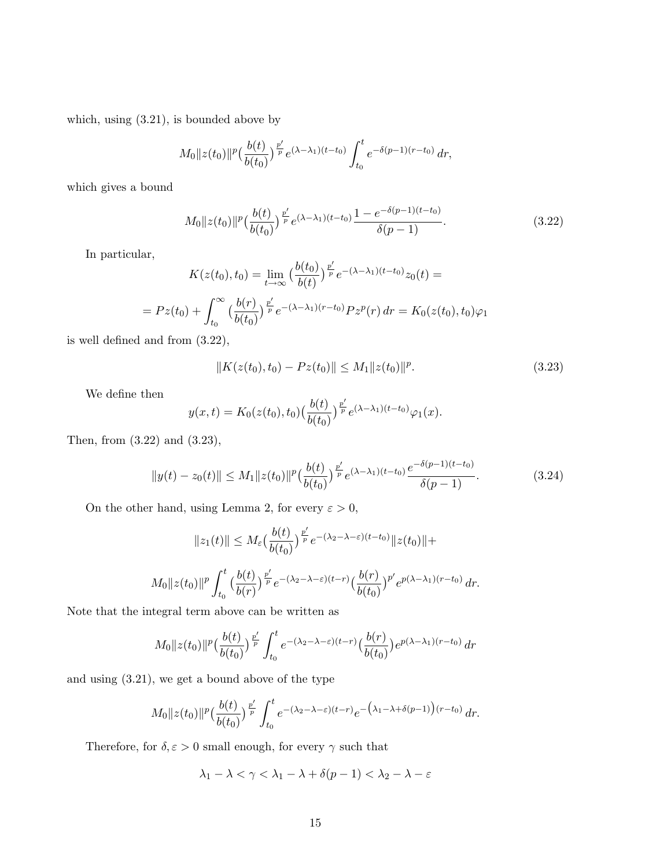which, using (3.21), is bounded above by

$$
M_0||z(t_0)||^p\left(\frac{b(t)}{b(t_0)}\right)^{\frac{p'}{p}}e^{(\lambda-\lambda_1)(t-t_0)}\int_{t_0}^t e^{-\delta(p-1)(r-t_0)}\,dr,
$$

which gives a bound

$$
M_0 \|z(t_0)\|^p \left(\frac{b(t)}{b(t_0)}\right)^{\frac{p'}{p}} e^{(\lambda - \lambda_1)(t - t_0)} \frac{1 - e^{-\delta(p-1)(t - t_0)}}{\delta(p-1)}.
$$
\n(3.22)

In particular,

$$
K(z(t_0), t_0) = \lim_{t \to \infty} \left(\frac{b(t_0)}{b(t)}\right)^{\frac{p'}{p}} e^{-(\lambda - \lambda_1)(t - t_0)} z_0(t) =
$$
  
= 
$$
Pz(t_0) + \int_{t_0}^{\infty} \left(\frac{b(r)}{b(t_0)}\right)^{\frac{p'}{p}} e^{-(\lambda - \lambda_1)(r - t_0)} P z^p(r) dr = K_0(z(t_0), t_0) \varphi_1
$$

is well defined and from (3.22),

$$
||K(z(t_0), t_0) - Pz(t_0)|| \le M_1 ||z(t_0)||^p.
$$
\n(3.23)

We define then

$$
y(x,t) = K_0(z(t_0), t_0) \left(\frac{b(t)}{b(t_0)}\right)^{\frac{p'}{p}} e^{(\lambda - \lambda_1)(t - t_0)} \varphi_1(x).
$$

Then, from (3.22) and (3.23),

$$
||y(t) - z_0(t)|| \le M_1 ||z(t_0)||^p \left(\frac{b(t)}{b(t_0)}\right)^{\frac{p'}{p}} e^{(\lambda - \lambda_1)(t - t_0)} \frac{e^{-\delta(p-1)(t - t_0)}}{\delta(p-1)}.
$$
\n(3.24)

On the other hand, using Lemma 2, for every  $\varepsilon > 0$ ,

$$
||z_1(t)|| \leq M_{\varepsilon} \left(\frac{b(t)}{b(t_0)}\right)^{\frac{p'}{p}} e^{-(\lambda_2 - \lambda - \varepsilon)(t - t_0)} ||z(t_0)|| +
$$
  

$$
M_0 ||z(t_0)||^p \int_{t_0}^t \left(\frac{b(t)}{b(r)}\right)^{\frac{p'}{p}} e^{-(\lambda_2 - \lambda - \varepsilon)(t - r)} \left(\frac{b(r)}{b(t_0)}\right)^{p'} e^{p(\lambda - \lambda_1)(r - t_0)} dr.
$$

Note that the integral term above can be written as

$$
M_0||z(t_0)||^p\left(\frac{b(t)}{b(t_0)}\right)^{\frac{p'}{p}}\int_{t_0}^t e^{-(\lambda_2-\lambda-\varepsilon)(t-r)}\left(\frac{b(r)}{b(t_0)}\right)e^{p(\lambda-\lambda_1)(r-t_0)}\,dr
$$

and using (3.21), we get a bound above of the type

$$
M_0||z(t_0)||^p\left(\frac{b(t)}{b(t_0)}\right)^{\frac{p'}{p}}\int_{t_0}^t e^{-(\lambda_2-\lambda-\varepsilon)(t-r)}e^{-\left(\lambda_1-\lambda+\delta(p-1)\right)(r-t_0)}\,dr.
$$

Therefore, for  $\delta, \varepsilon > 0$  small enough, for every  $\gamma$  such that

$$
\lambda_1-\lambda<\gamma<\lambda_1-\lambda+\delta(p-1)<\lambda_2-\lambda-\varepsilon
$$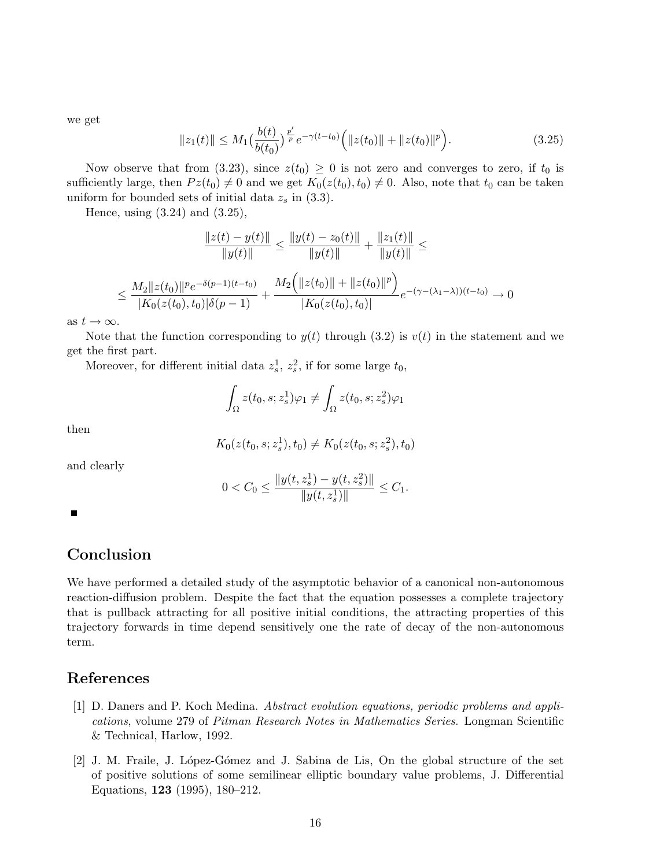we get

$$
||z_1(t)|| \le M_1 \left(\frac{b(t)}{b(t_0)}\right)^{\frac{p'}{p}} e^{-\gamma(t-t_0)} \Big( ||z(t_0)|| + ||z(t_0)||^p \Big). \tag{3.25}
$$

Now observe that from (3.23), since  $z(t_0) \geq 0$  is not zero and converges to zero, if  $t_0$  is sufficiently large, then  $Pz(t_0) \neq 0$  and we get  $K_0(z(t_0), t_0) \neq 0$ . Also, note that  $t_0$  can be taken uniform for bounded sets of initial data  $z_s$  in (3.3).

Hence, using (3.24) and (3.25),

$$
\frac{\|z(t) - y(t)\|}{\|y(t)\|} \le \frac{\|y(t) - z_0(t)\|}{\|y(t)\|} + \frac{\|z_1(t)\|}{\|y(t)\|} \le
$$
  

$$
\le \frac{M_2 \|z(t_0)\|^p e^{-\delta(p-1)(t-t_0)}}{|K_0(z(t_0), t_0)|\delta(p-1)} + \frac{M_2 \left(\|z(t_0)\| + \|z(t_0)\|^p\right)}{|K_0(z(t_0), t_0)|} e^{-(\gamma - (\lambda_1 - \lambda))(t-t_0)} \to 0
$$

as  $t \to \infty$ .

Note that the function corresponding to  $y(t)$  through (3.2) is  $v(t)$  in the statement and we get the first part.

Moreover, for different initial data  $z_s^1$ ,  $z_s^2$ , if for some large  $t_0$ ,

$$
\int_{\Omega} z(t_0, s; z_s^1) \varphi_1 \neq \int_{\Omega} z(t_0, s; z_s^2) \varphi_1
$$

then

$$
K_0(z(t_0, s; z_s^1), t_0) \neq K_0(z(t_0, s; z_s^2), t_0)
$$

and clearly

$$
0 < C_0 \le \frac{\|y(t, z_s^1) - y(t, z_s^2)\|}{\|y(t, z_s^1)\|} \le C_1.
$$

Г

# Conclusion

We have performed a detailed study of the asymptotic behavior of a canonical non-autonomous reaction-diffusion problem. Despite the fact that the equation possesses a complete trajectory that is pullback attracting for all positive initial conditions, the attracting properties of this trajectory forwards in time depend sensitively one the rate of decay of the non-autonomous term.

# References

- [1] D. Daners and P. Koch Medina. Abstract evolution equations, periodic problems and applications, volume 279 of Pitman Research Notes in Mathematics Series. Longman Scientific & Technical, Harlow, 1992.
- [2] J. M. Fraile, J. L´opez-G´omez and J. Sabina de Lis, On the global structure of the set of positive solutions of some semilinear elliptic boundary value problems, J. Differential Equations, 123 (1995), 180–212.